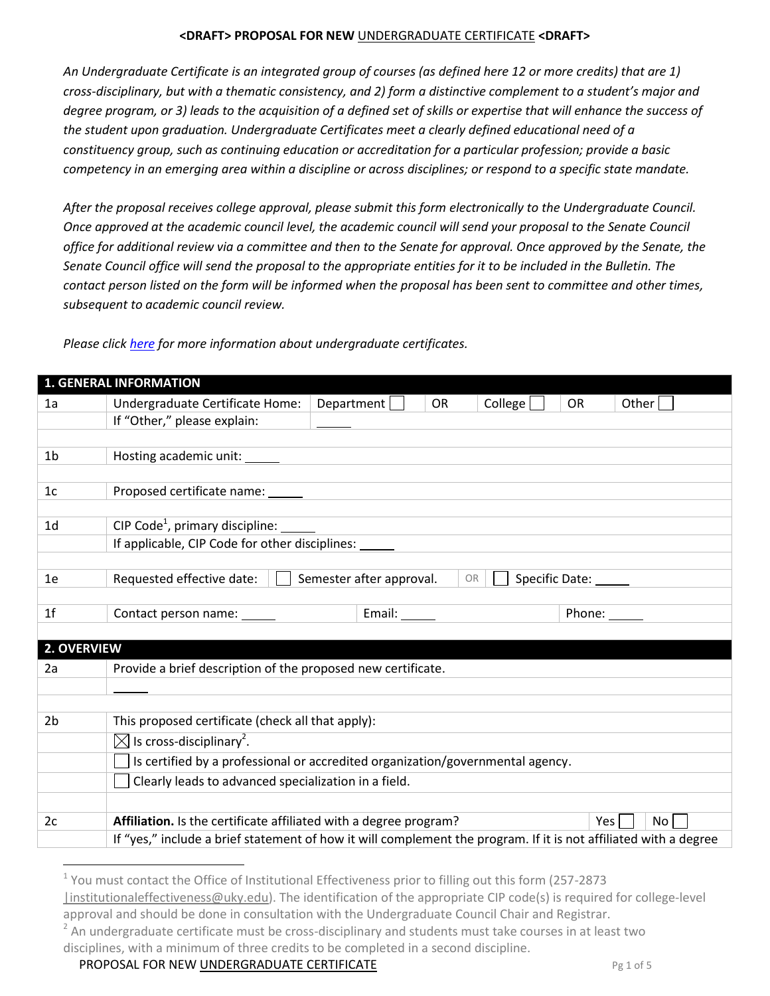*An Undergraduate Certificate is an integrated group of courses (as defined here 12 or more credits) that are 1) cross-disciplinary, but with a thematic consistency, and 2) form a distinctive complement to a student's major and degree program, or 3) leads to the acquisition of a defined set of skills or expertise that will enhance the success of the student upon graduation. Undergraduate Certificates meet a clearly defined educational need of a constituency group, such as continuing education or accreditation for a particular profession; provide a basic competency in an emerging area within a discipline or across disciplines; or respond to a specific state mandate.*

*After the proposal receives college approval, please submit this form electronically to the Undergraduate Council. Once approved at the academic council level, the academic council will send your proposal to the Senate Council office for additional review via a committee and then to the Senate for approval. Once approved by the Senate, the Senate Council office will send the proposal to the appropriate entities for it to be included in the Bulletin. The contact person listed on the form will be informed when the proposal has been sent to committee and other times, subsequent to academic council review.*

|                | <b>1. GENERAL INFORMATION</b>                                                                                    |                          |           |         |                      |  |
|----------------|------------------------------------------------------------------------------------------------------------------|--------------------------|-----------|---------|----------------------|--|
| 1a             | Undergraduate Certificate Home:                                                                                  | Department               | <b>OR</b> | College | Other<br><b>OR</b>   |  |
|                | If "Other," please explain:                                                                                      |                          |           |         |                      |  |
|                |                                                                                                                  |                          |           |         |                      |  |
| 1 <sub>b</sub> | Hosting academic unit: ______                                                                                    |                          |           |         |                      |  |
|                |                                                                                                                  |                          |           |         |                      |  |
| 1c             |                                                                                                                  |                          |           |         |                      |  |
|                |                                                                                                                  |                          |           |         |                      |  |
| 1 <sub>d</sub> | CIP Code <sup>1</sup> , primary discipline: $\frac{1}{\sqrt{1-\frac{1}{n}}}\$                                    |                          |           |         |                      |  |
|                | If applicable, CIP Code for other disciplines: _____                                                             |                          |           |         |                      |  |
| 1e             | Requested effective date:                                                                                        | Semester after approval. | <b>OR</b> |         |                      |  |
|                |                                                                                                                  |                          |           |         | Specific Date: _____ |  |
| 1 <sup>f</sup> |                                                                                                                  | Email: ______            |           |         | Phone:               |  |
|                |                                                                                                                  |                          |           |         |                      |  |
| 2. OVERVIEW    |                                                                                                                  |                          |           |         |                      |  |
| 2a             | Provide a brief description of the proposed new certificate.                                                     |                          |           |         |                      |  |
|                |                                                                                                                  |                          |           |         |                      |  |
|                |                                                                                                                  |                          |           |         |                      |  |
| 2 <sub>b</sub> | This proposed certificate (check all that apply):                                                                |                          |           |         |                      |  |
|                | $\boxtimes$ Is cross-disciplinary <sup>2</sup> .                                                                 |                          |           |         |                      |  |
|                | Is certified by a professional or accredited organization/governmental agency.                                   |                          |           |         |                      |  |
|                | Clearly leads to advanced specialization in a field.                                                             |                          |           |         |                      |  |
|                |                                                                                                                  |                          |           |         |                      |  |
| 2c             | Affiliation. Is the certificate affiliated with a degree program?                                                |                          |           |         | Yes  <br>No          |  |
|                | If "yes," include a brief statement of how it will complement the program. If it is not affiliated with a degree |                          |           |         |                      |  |
|                |                                                                                                                  |                          |           |         |                      |  |

*Please click [here](http://www.uky.edu/Faculty/Senate/files/Forms/UndergraduateCertificates.html) for more information about undergraduate certificates.*

**PROPOSAL FOR NEW UNDERGRADUATE CERTIFICATE** *Pg 1 of 5* 

 $\overline{a}$ 

<sup>&</sup>lt;sup>1</sup> You must contact the Office of Institutional Effectiveness prior to filling out this form (257-2873

[<sup>|</sup>institutionaleffectiveness@uky.edu\)](mailto:%7Cinstitutionaleffectiveness@uky.edu). The identification of the appropriate CIP code(s) is required for college-level approval and should be done in consultation with the Undergraduate Council Chair and Registrar.

 $2$  An undergraduate certificate must be cross-disciplinary and students must take courses in at least two disciplines, with a minimum of three credits to be completed in a second discipline.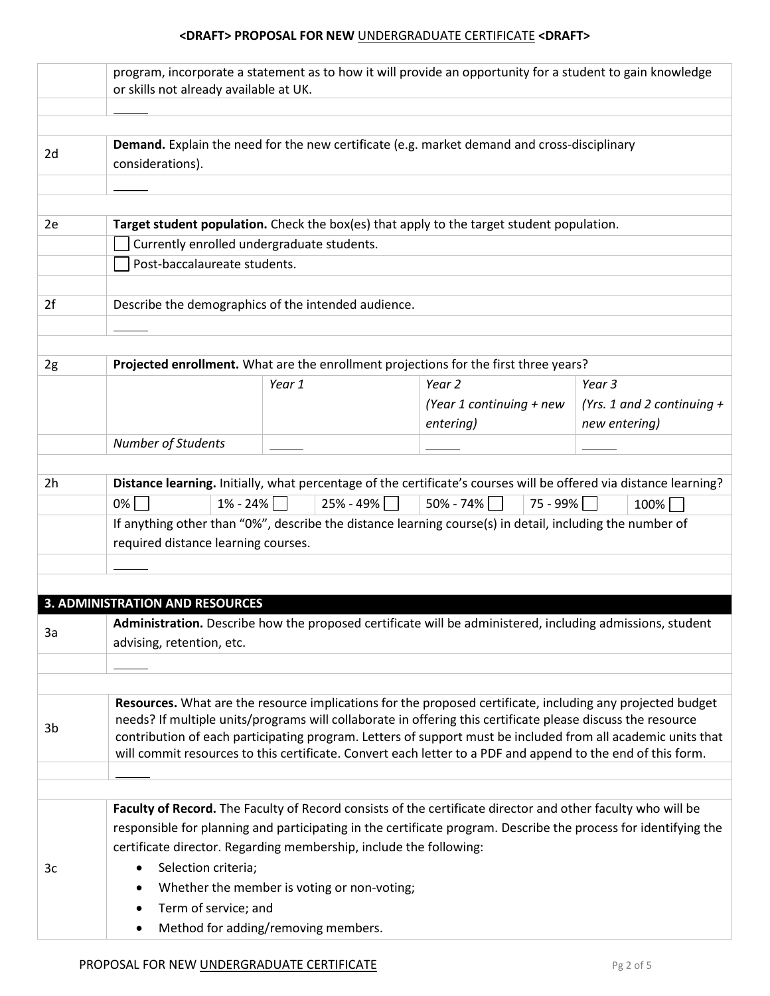|    | program, incorporate a statement as to how it will provide an opportunity for a student to gain knowledge                                                                                                                                                                                                                                                                                                                                                |                                                                    |                                                                                                                   |                              |  |  |  |
|----|----------------------------------------------------------------------------------------------------------------------------------------------------------------------------------------------------------------------------------------------------------------------------------------------------------------------------------------------------------------------------------------------------------------------------------------------------------|--------------------------------------------------------------------|-------------------------------------------------------------------------------------------------------------------|------------------------------|--|--|--|
|    | or skills not already available at UK.                                                                                                                                                                                                                                                                                                                                                                                                                   |                                                                    |                                                                                                                   |                              |  |  |  |
|    |                                                                                                                                                                                                                                                                                                                                                                                                                                                          |                                                                    |                                                                                                                   |                              |  |  |  |
| 2d | Demand. Explain the need for the new certificate (e.g. market demand and cross-disciplinary<br>considerations).                                                                                                                                                                                                                                                                                                                                          |                                                                    |                                                                                                                   |                              |  |  |  |
|    |                                                                                                                                                                                                                                                                                                                                                                                                                                                          |                                                                    |                                                                                                                   |                              |  |  |  |
|    |                                                                                                                                                                                                                                                                                                                                                                                                                                                          |                                                                    |                                                                                                                   |                              |  |  |  |
| 2e |                                                                                                                                                                                                                                                                                                                                                                                                                                                          |                                                                    | Target student population. Check the box(es) that apply to the target student population.                         |                              |  |  |  |
|    | Currently enrolled undergraduate students.                                                                                                                                                                                                                                                                                                                                                                                                               |                                                                    |                                                                                                                   |                              |  |  |  |
|    | Post-baccalaureate students.                                                                                                                                                                                                                                                                                                                                                                                                                             |                                                                    |                                                                                                                   |                              |  |  |  |
|    |                                                                                                                                                                                                                                                                                                                                                                                                                                                          |                                                                    |                                                                                                                   |                              |  |  |  |
| 2f |                                                                                                                                                                                                                                                                                                                                                                                                                                                          | Describe the demographics of the intended audience.                |                                                                                                                   |                              |  |  |  |
|    |                                                                                                                                                                                                                                                                                                                                                                                                                                                          |                                                                    |                                                                                                                   |                              |  |  |  |
| 2g |                                                                                                                                                                                                                                                                                                                                                                                                                                                          |                                                                    | Projected enrollment. What are the enrollment projections for the first three years?                              |                              |  |  |  |
|    |                                                                                                                                                                                                                                                                                                                                                                                                                                                          | Year 1                                                             | Year 2                                                                                                            | Year 3                       |  |  |  |
|    |                                                                                                                                                                                                                                                                                                                                                                                                                                                          |                                                                    | (Year 1 continuing + new                                                                                          | (Yrs. 1 and 2 continuing $+$ |  |  |  |
|    |                                                                                                                                                                                                                                                                                                                                                                                                                                                          |                                                                    | entering)                                                                                                         | new entering)                |  |  |  |
|    | <b>Number of Students</b>                                                                                                                                                                                                                                                                                                                                                                                                                                |                                                                    |                                                                                                                   |                              |  |  |  |
|    |                                                                                                                                                                                                                                                                                                                                                                                                                                                          |                                                                    |                                                                                                                   |                              |  |  |  |
| 2h |                                                                                                                                                                                                                                                                                                                                                                                                                                                          |                                                                    | Distance learning. Initially, what percentage of the certificate's courses will be offered via distance learning? |                              |  |  |  |
|    | $0\%$<br>$1\% - 24\%$                                                                                                                                                                                                                                                                                                                                                                                                                                    | $25\% - 49\%$                                                      | $50\% - 74\%$<br>$75 - 99\%$                                                                                      | $100\%$                      |  |  |  |
|    | If anything other than "0%", describe the distance learning course(s) in detail, including the number of<br>required distance learning courses.                                                                                                                                                                                                                                                                                                          |                                                                    |                                                                                                                   |                              |  |  |  |
|    |                                                                                                                                                                                                                                                                                                                                                                                                                                                          |                                                                    |                                                                                                                   |                              |  |  |  |
|    |                                                                                                                                                                                                                                                                                                                                                                                                                                                          |                                                                    |                                                                                                                   |                              |  |  |  |
|    | <b>3. ADMINISTRATION AND RESOURCES</b>                                                                                                                                                                                                                                                                                                                                                                                                                   |                                                                    |                                                                                                                   |                              |  |  |  |
| За | Administration. Describe how the proposed certificate will be administered, including admissions, student<br>advising, retention, etc.                                                                                                                                                                                                                                                                                                                   |                                                                    |                                                                                                                   |                              |  |  |  |
|    |                                                                                                                                                                                                                                                                                                                                                                                                                                                          |                                                                    |                                                                                                                   |                              |  |  |  |
|    |                                                                                                                                                                                                                                                                                                                                                                                                                                                          |                                                                    |                                                                                                                   |                              |  |  |  |
| 3b | Resources. What are the resource implications for the proposed certificate, including any projected budget<br>needs? If multiple units/programs will collaborate in offering this certificate please discuss the resource<br>contribution of each participating program. Letters of support must be included from all academic units that<br>will commit resources to this certificate. Convert each letter to a PDF and append to the end of this form. |                                                                    |                                                                                                                   |                              |  |  |  |
|    |                                                                                                                                                                                                                                                                                                                                                                                                                                                          |                                                                    |                                                                                                                   |                              |  |  |  |
|    |                                                                                                                                                                                                                                                                                                                                                                                                                                                          |                                                                    | Faculty of Record. The Faculty of Record consists of the certificate director and other faculty who will be       |                              |  |  |  |
|    |                                                                                                                                                                                                                                                                                                                                                                                                                                                          |                                                                    | responsible for planning and participating in the certificate program. Describe the process for identifying the   |                              |  |  |  |
|    |                                                                                                                                                                                                                                                                                                                                                                                                                                                          | certificate director. Regarding membership, include the following: |                                                                                                                   |                              |  |  |  |
| 3c | Selection criteria;                                                                                                                                                                                                                                                                                                                                                                                                                                      |                                                                    |                                                                                                                   |                              |  |  |  |
|    |                                                                                                                                                                                                                                                                                                                                                                                                                                                          | Whether the member is voting or non-voting;                        |                                                                                                                   |                              |  |  |  |
|    | Term of service; and                                                                                                                                                                                                                                                                                                                                                                                                                                     |                                                                    |                                                                                                                   |                              |  |  |  |
|    | Method for adding/removing members.                                                                                                                                                                                                                                                                                                                                                                                                                      |                                                                    |                                                                                                                   |                              |  |  |  |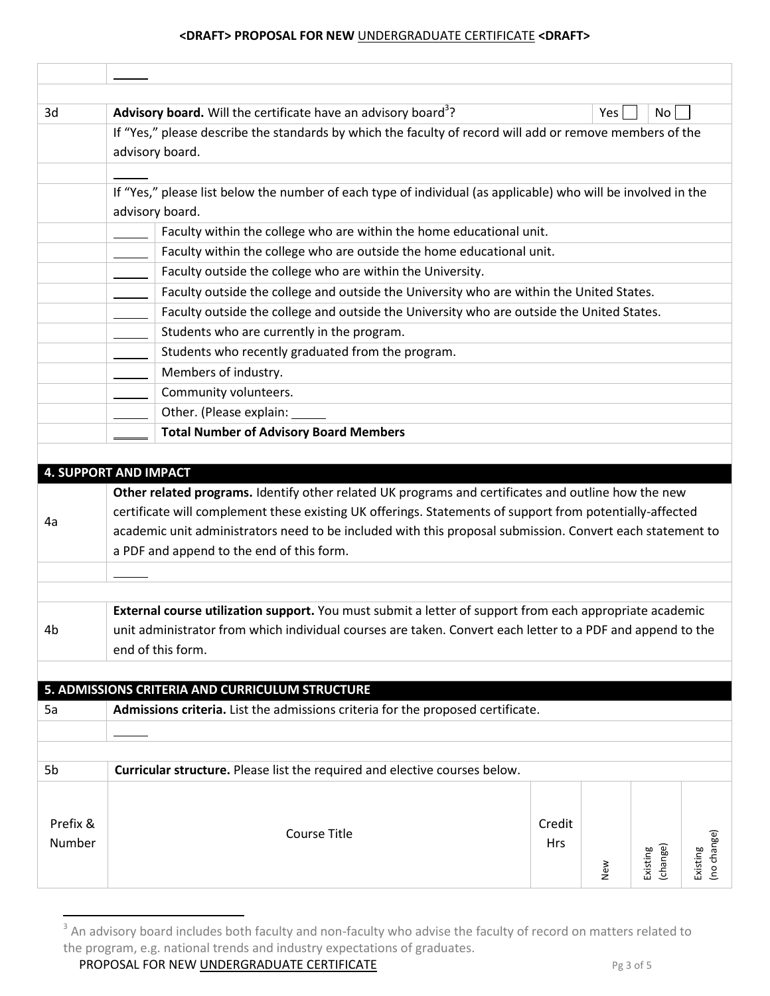| 3d       | Advisory board. Will the certificate have an advisory board <sup>3</sup> ?<br>Yes  <br>No <sub>1</sub>        |        |     |                      |                         |  |  |  |  |
|----------|---------------------------------------------------------------------------------------------------------------|--------|-----|----------------------|-------------------------|--|--|--|--|
|          | If "Yes," please describe the standards by which the faculty of record will add or remove members of the      |        |     |                      |                         |  |  |  |  |
|          | advisory board.                                                                                               |        |     |                      |                         |  |  |  |  |
|          |                                                                                                               |        |     |                      |                         |  |  |  |  |
|          | If "Yes," please list below the number of each type of individual (as applicable) who will be involved in the |        |     |                      |                         |  |  |  |  |
|          | advisory board.                                                                                               |        |     |                      |                         |  |  |  |  |
|          | Faculty within the college who are within the home educational unit.                                          |        |     |                      |                         |  |  |  |  |
|          | Faculty within the college who are outside the home educational unit.                                         |        |     |                      |                         |  |  |  |  |
|          | Faculty outside the college who are within the University.                                                    |        |     |                      |                         |  |  |  |  |
|          | Faculty outside the college and outside the University who are within the United States.                      |        |     |                      |                         |  |  |  |  |
|          | Faculty outside the college and outside the University who are outside the United States.                     |        |     |                      |                         |  |  |  |  |
|          | Students who are currently in the program.                                                                    |        |     |                      |                         |  |  |  |  |
|          | Students who recently graduated from the program.                                                             |        |     |                      |                         |  |  |  |  |
|          | Members of industry.                                                                                          |        |     |                      |                         |  |  |  |  |
|          | Community volunteers.                                                                                         |        |     |                      |                         |  |  |  |  |
|          | Other. (Please explain:                                                                                       |        |     |                      |                         |  |  |  |  |
|          | <b>Total Number of Advisory Board Members</b>                                                                 |        |     |                      |                         |  |  |  |  |
|          |                                                                                                               |        |     |                      |                         |  |  |  |  |
|          | <b>4. SUPPORT AND IMPACT</b>                                                                                  |        |     |                      |                         |  |  |  |  |
|          | Other related programs. Identify other related UK programs and certificates and outline how the new           |        |     |                      |                         |  |  |  |  |
| 4a       | certificate will complement these existing UK offerings. Statements of support from potentially-affected      |        |     |                      |                         |  |  |  |  |
|          | academic unit administrators need to be included with this proposal submission. Convert each statement to     |        |     |                      |                         |  |  |  |  |
|          | a PDF and append to the end of this form.                                                                     |        |     |                      |                         |  |  |  |  |
|          |                                                                                                               |        |     |                      |                         |  |  |  |  |
|          |                                                                                                               |        |     |                      |                         |  |  |  |  |
|          | External course utilization support. You must submit a letter of support from each appropriate academic       |        |     |                      |                         |  |  |  |  |
| 4b       | unit administrator from which individual courses are taken. Convert each letter to a PDF and append to the    |        |     |                      |                         |  |  |  |  |
|          | end of this form.                                                                                             |        |     |                      |                         |  |  |  |  |
|          | 5. ADMISSIONS CRITERIA AND CURRICULUM STRUCTURE                                                               |        |     |                      |                         |  |  |  |  |
| 5a       |                                                                                                               |        |     |                      |                         |  |  |  |  |
|          | Admissions criteria. List the admissions criteria for the proposed certificate.                               |        |     |                      |                         |  |  |  |  |
|          |                                                                                                               |        |     |                      |                         |  |  |  |  |
| 5b       | Curricular structure. Please list the required and elective courses below.                                    |        |     |                      |                         |  |  |  |  |
|          |                                                                                                               |        |     |                      |                         |  |  |  |  |
|          |                                                                                                               |        |     |                      |                         |  |  |  |  |
| Prefix & | <b>Course Title</b>                                                                                           | Credit |     |                      |                         |  |  |  |  |
| Number   |                                                                                                               | Hrs    |     |                      |                         |  |  |  |  |
|          |                                                                                                               |        |     |                      |                         |  |  |  |  |
|          |                                                                                                               |        | New | (change)<br>Existing | (no change)<br>Existing |  |  |  |  |

 3 An advisory board includes both faculty and non-faculty who advise the faculty of record on matters related to the program, e.g. national trends and industry expectations of graduates.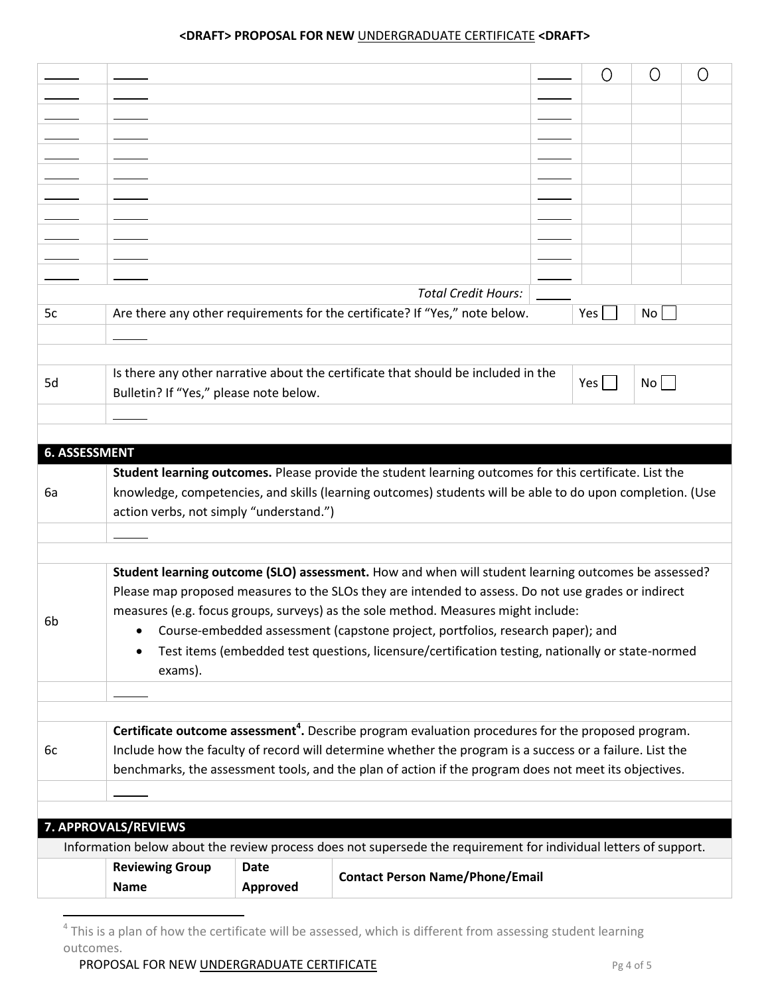|                      |                                                                                                                                                                                                                   |             |                                                                                                                  | 0           | Ο               | Ω |  |  |  |
|----------------------|-------------------------------------------------------------------------------------------------------------------------------------------------------------------------------------------------------------------|-------------|------------------------------------------------------------------------------------------------------------------|-------------|-----------------|---|--|--|--|
|                      |                                                                                                                                                                                                                   |             |                                                                                                                  |             |                 |   |  |  |  |
|                      |                                                                                                                                                                                                                   |             |                                                                                                                  |             |                 |   |  |  |  |
|                      |                                                                                                                                                                                                                   |             |                                                                                                                  |             |                 |   |  |  |  |
|                      |                                                                                                                                                                                                                   |             |                                                                                                                  |             |                 |   |  |  |  |
|                      |                                                                                                                                                                                                                   |             |                                                                                                                  |             |                 |   |  |  |  |
|                      |                                                                                                                                                                                                                   |             |                                                                                                                  |             |                 |   |  |  |  |
|                      |                                                                                                                                                                                                                   |             |                                                                                                                  |             |                 |   |  |  |  |
|                      |                                                                                                                                                                                                                   |             |                                                                                                                  |             |                 |   |  |  |  |
|                      |                                                                                                                                                                                                                   |             |                                                                                                                  |             |                 |   |  |  |  |
|                      |                                                                                                                                                                                                                   |             |                                                                                                                  |             |                 |   |  |  |  |
|                      |                                                                                                                                                                                                                   |             | <b>Total Credit Hours:</b>                                                                                       |             |                 |   |  |  |  |
| 5c                   |                                                                                                                                                                                                                   |             | Are there any other requirements for the certificate? If "Yes," note below.                                      | Yes         | No <sub>1</sub> |   |  |  |  |
|                      |                                                                                                                                                                                                                   |             |                                                                                                                  |             |                 |   |  |  |  |
|                      |                                                                                                                                                                                                                   |             | Is there any other narrative about the certificate that should be included in the                                |             |                 |   |  |  |  |
| 5d                   | Bulletin? If "Yes," please note below.                                                                                                                                                                            |             |                                                                                                                  | Yes $\vert$ | No              |   |  |  |  |
|                      |                                                                                                                                                                                                                   |             |                                                                                                                  |             |                 |   |  |  |  |
|                      |                                                                                                                                                                                                                   |             |                                                                                                                  |             |                 |   |  |  |  |
| <b>6. ASSESSMENT</b> |                                                                                                                                                                                                                   |             |                                                                                                                  |             |                 |   |  |  |  |
|                      |                                                                                                                                                                                                                   |             | Student learning outcomes. Please provide the student learning outcomes for this certificate. List the           |             |                 |   |  |  |  |
| 6a                   |                                                                                                                                                                                                                   |             | knowledge, competencies, and skills (learning outcomes) students will be able to do upon completion. (Use        |             |                 |   |  |  |  |
|                      | action verbs, not simply "understand.")                                                                                                                                                                           |             |                                                                                                                  |             |                 |   |  |  |  |
|                      |                                                                                                                                                                                                                   |             |                                                                                                                  |             |                 |   |  |  |  |
|                      |                                                                                                                                                                                                                   |             |                                                                                                                  |             |                 |   |  |  |  |
|                      |                                                                                                                                                                                                                   |             | Student learning outcome (SLO) assessment. How and when will student learning outcomes be assessed?              |             |                 |   |  |  |  |
|                      | Please map proposed measures to the SLOs they are intended to assess. Do not use grades or indirect                                                                                                               |             |                                                                                                                  |             |                 |   |  |  |  |
|                      | measures (e.g. focus groups, surveys) as the sole method. Measures might include:                                                                                                                                 |             |                                                                                                                  |             |                 |   |  |  |  |
| 6b                   | Course-embedded assessment (capstone project, portfolios, research paper); and                                                                                                                                    |             |                                                                                                                  |             |                 |   |  |  |  |
|                      |                                                                                                                                                                                                                   |             | Test items (embedded test questions, licensure/certification testing, nationally or state-normed                 |             |                 |   |  |  |  |
|                      | exams).                                                                                                                                                                                                           |             |                                                                                                                  |             |                 |   |  |  |  |
|                      |                                                                                                                                                                                                                   |             |                                                                                                                  |             |                 |   |  |  |  |
|                      |                                                                                                                                                                                                                   |             | Certificate outcome assessment <sup>4</sup> . Describe program evaluation procedures for the proposed program.   |             |                 |   |  |  |  |
| 6c                   | Include how the faculty of record will determine whether the program is a success or a failure. List the<br>benchmarks, the assessment tools, and the plan of action if the program does not meet its objectives. |             |                                                                                                                  |             |                 |   |  |  |  |
|                      |                                                                                                                                                                                                                   |             |                                                                                                                  |             |                 |   |  |  |  |
|                      |                                                                                                                                                                                                                   |             |                                                                                                                  |             |                 |   |  |  |  |
|                      |                                                                                                                                                                                                                   |             |                                                                                                                  |             |                 |   |  |  |  |
|                      | 7. APPROVALS/REVIEWS                                                                                                                                                                                              |             |                                                                                                                  |             |                 |   |  |  |  |
|                      |                                                                                                                                                                                                                   |             | Information below about the review process does not supersede the requirement for individual letters of support. |             |                 |   |  |  |  |
|                      | <b>Reviewing Group</b>                                                                                                                                                                                            | <b>Date</b> |                                                                                                                  |             |                 |   |  |  |  |
|                      | <b>Name</b>                                                                                                                                                                                                       | Approved    | <b>Contact Person Name/Phone/Email</b>                                                                           |             |                 |   |  |  |  |
|                      |                                                                                                                                                                                                                   |             |                                                                                                                  |             |                 |   |  |  |  |

**PROPOSAL FOR NEW UNDERGRADUATE CERTIFICATE** *Pg 4 of 5* 

 4 This is a plan of how the certificate will be assessed, which is different from assessing student learning outcomes.